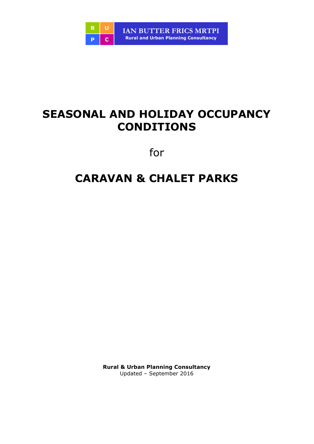

# **SEASONAL AND HOLIDAY OCCUPANCY CONDITIONS**

for

# **CARAVAN & CHALET PARKS**

**Rural & Urban Planning Consultancy**  Updated – September 2016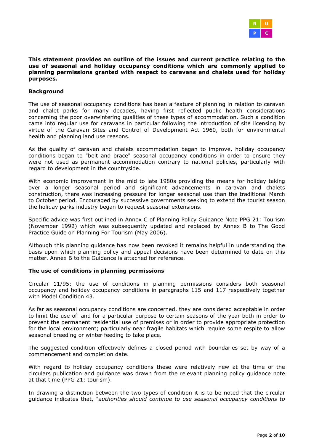

**This statement provides an outline of the issues and current practice relating to the use of seasonal and holiday occupancy conditions which are commonly applied to planning permissions granted with respect to caravans and chalets used for holiday purposes.** 

#### **Background**

The use of seasonal occupancy conditions has been a feature of planning in relation to caravan and chalet parks for many decades, having first reflected public health considerations concerning the poor overwintering qualities of these types of accommodation. Such a condition came into regular use for caravans in particular following the introduction of site licensing by virtue of the Caravan Sites and Control of Development Act 1960, both for environmental health and planning land use reasons.

As the quality of caravan and chalets accommodation began to improve, holiday occupancy conditions began to "belt and brace" seasonal occupancy conditions in order to ensure they were not used as permanent accommodation contrary to national policies, particularly with regard to development in the countryside.

With economic improvement in the mid to late 1980s providing the means for holiday taking over a longer seasonal period and significant advancements in caravan and chalets construction, there was increasing pressure for longer seasonal use than the traditional March to October period. Encouraged by successive governments seeking to extend the tourist season the holiday parks industry began to request seasonal extensions.

Specific advice was first outlined in Annex C of Planning Policy Guidance Note PPG 21: Tourism (November 1992) which was subsequently updated and replaced by Annex B to The Good Practice Guide on Planning For Tourism (May 2006).

Although this planning guidance has now been revoked it remains helpful in understanding the basis upon which planning policy and appeal decisions have been determined to date on this matter. Annex B to the Guidance is attached for reference.

#### **The use of conditions in planning permissions**

Circular 11/95: the use of conditions in planning permissions considers both seasonal occupancy and holiday occupancy conditions in paragraphs 115 and 117 respectively together with Model Condition 43.

As far as seasonal occupancy conditions are concerned, they are considered acceptable in order to limit the use of land for a particular purpose to certain seasons of the year both in order to prevent the permanent residential use of premises or in order to provide appropriate protection for the local environment; particularly near fragile habitats which require some respite to allow seasonal breeding or winter feeding to take place.

The suggested condition effectively defines a closed period with boundaries set by way of a commencement and completion date.

With regard to holiday occupancy conditions these were relatively new at the time of the circulars publication and guidance was drawn from the relevant planning policy guidance note at that time (PPG 21: tourism).

In drawing a distinction between the two types of condition it is to be noted that the circular guidance indicates that, "*authorities should continue to use seasonal occupancy conditions to*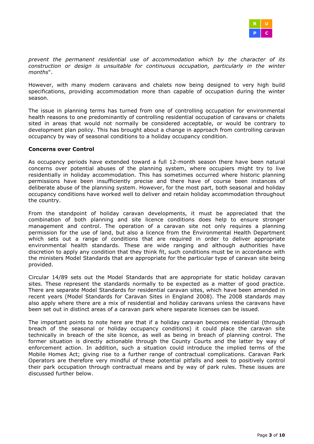

*prevent the permanent residential use of accommodation which by the character of its construction or design is unsuitable for continuous occupation, particularly in the winter months*".

However, with many modern caravans and chalets now being designed to very high build specifications, providing accommodation more than capable of occupation during the winter season.

The issue in planning terms has turned from one of controlling occupation for environmental health reasons to one predominantly of controlling residential occupation of caravans or chalets sited in areas that would not normally be considered acceptable, or would be contrary to development plan policy. This has brought about a change in approach from controlling caravan occupancy by way of seasonal conditions to a holiday occupancy condition.

#### **Concerns over Control**

As occupancy periods have extended toward a full 12-month season there have been natural concerns over potential abuses of the planning system, where occupiers might try to live residentially in holiday accommodation. This has sometimes occurred where historic planning permissions have been insufficiently precise and there have of course been instances of deliberate abuse of the planning system. However, for the most part, both seasonal and holiday occupancy conditions have worked well to deliver and retain holiday accommodation throughout the country.

From the standpoint of holiday caravan developments, it must be appreciated that the combination of both planning and site licence conditions does help to ensure stronger management and control. The operation of a caravan site not only requires a planning permission for the use of land, but also a licence from the Environmental Health Department which sets out a range of conditions that are required in order to deliver appropriate environmental health standards. These are wide ranging and although authorities have discretion to apply any condition that they think fit, such conditions must be in accordance with the ministers Model Standards that are appropriate for the particular type of caravan site being provided.

Circular 14/89 sets out the Model Standards that are appropriate for static holiday caravan sites. These represent the standards normally to be expected as a matter of good practice. There are separate Model Standards for residential caravan sites, which have been amended in recent years (Model Standards for Caravan Sites in England 2008). The 2008 standards may also apply where there are a mix of residential and holiday caravans unless the caravans have been set out in distinct areas of a caravan park where separate licenses can be issued.

The important points to note here are that if a holiday caravan becomes residential (through breach of the seasonal or holiday occupancy conditions) it could place the caravan site technically in breach of the site licence, as well as being in breach of planning control. The former situation is directly actionable through the County Courts and the latter by way of enforcement action. In addition, such a situation could introduce the implied terms of the Mobile Homes Act; giving rise to a further range of contractual complications. Caravan Park Operators are therefore very mindful of these potential pitfalls and seek to positively control their park occupation through contractual means and by way of park rules. These issues are discussed further below.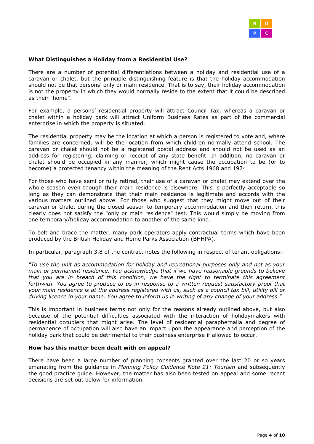

## **What Distinguishes a Holiday from a Residential Use?**

There are a number of potential differentiations between a holiday and residential use of a caravan or chalet, but the principle distinguishing feature is that the holiday accommodation should not be that persons' only or main residence. That is to say, their holiday accommodation is not the property in which they would normally reside to the extent that it could be described as their "home".

For example, a persons' residential property will attract Council Tax, whereas a caravan or chalet within a holiday park will attract Uniform Business Rates as part of the commercial enterprise in which the property is situated.

The residential property may be the location at which a person is registered to vote and, where families are concerned, will be the location from which children normally attend school. The caravan or chalet should not be a registered postal address and should not be used as an address for registering, claiming or receipt of any state benefit. In addition, no caravan or chalet should be occupied in any manner, which might cause the occupation to be (or to become) a protected tenancy within the meaning of the Rent Acts 1968 and 1974.

For those who have semi or fully retired, their use of a caravan or chalet may extend over the whole season even though their main residence is elsewhere. This is perfectly acceptable so long as they can demonstrate that their main residence is legitimate and accords with the various matters outlined above. For those who suggest that they might move out of their caravan or chalet during the closed season to temporary accommodation and then return, this clearly does not satisfy the "only or main residence" test. This would simply be moving from one temporary/holiday accommodation to another of the same kind.

To belt and brace the matter, many park operators apply contractual terms which have been produced by the British Holiday and Home Parks Association (BHHPA).

In particular, paragraph 3.8 of the contract notes the following in respect of tenant obligations:-

*"To use the unit as accommodation for holiday and recreational purposes only and not as your main or permanent residence. You acknowledge that if we have reasonable grounds to believe that you are in breach of this condition, we have the right to terminate this agreement forthwith. You agree to produce to us in response to a written request satisfactory proof that your main residence is at the address registered with us, such as a council tax bill, utility bill or driving licence in your name. You agree to inform us in writing of any change of your address."* 

This is important in business terms not only for the reasons already outlined above, but also because of the potential difficulties associated with the interaction of holidaymakers with residential occupiers that might arise. The level of residential paraphernalia and degree of permanence of occupation will also have an impact upon the appearance and perception of the holiday park that could be detrimental to their business enterprise if allowed to occur.

#### **How has this matter been dealt with on appeal?**

There have been a large number of planning consents granted over the last 20 or so years emanating from the guidance in *Planning Policy Guidance Note 21: Tourism* and subsequently the good practice guide. However, the matter has also been tested on appeal and some recent decisions are set out below for information.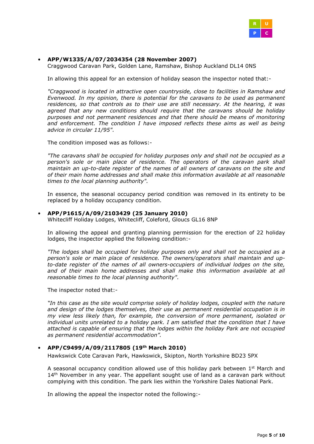

# • **APP/W1335/A/07/2034354 (28 November 2007)**

Craggwood Caravan Park, Golden Lane, Ramshaw, Bishop Auckland DL14 0NS

In allowing this appeal for an extension of holiday season the inspector noted that:-

*"Craggwood is located in attractive open countryside, close to facilities in Ramshaw and Evenwood. In my opinion, there is potential for the caravans to be used as permanent residences, so that controls as to their use are still necessary. At the hearing, it was agreed that any new conditions should require that the caravans should be holiday purposes and not permanent residences and that there should be means of monitoring and enforcement. The condition I have imposed reflects these aims as well as being advice in circular 11/95".* 

The condition imposed was as follows:-

*"The caravans shall be occupied for holiday purposes only and shall not be occupied as a person's sole or main place of residence. The operators of the caravan park shall maintain an up-to-date register of the names of all owners of caravans on the site and of their main home addresses and shall make this information available at all reasonable times to the local planning authority".*

In essence, the seasonal occupancy period condition was removed in its entirety to be replaced by a holiday occupancy condition.

#### • **APP/P1615/A/09/2103429 (25 January 2010)**

Whitecliff Holiday Lodges, Whitecliff, Coleford, Gloucs GL16 8NP

In allowing the appeal and granting planning permission for the erection of 22 holiday lodges, the inspector applied the following condition:-

*"The lodges shall be occupied for holiday purposes only and shall not be occupied as a person's sole or main place of residence. The owners/operators shall maintain and upto-date register of the names of all owners-occupiers of individual lodges on the site,*  and of their main home addresses and shall make this information available at all *reasonable times to the local planning authority".* 

The inspector noted that:-

*"In this case as the site would comprise solely of holiday lodges, coupled with the nature and design of the lodges themselves, their use as permanent residential occupation is in my view less likely than, for example, the conversion of more permanent, isolated or individual units unrelated to a holiday park. I am satisfied that the condition that I have attached is capable of ensuring that the lodges within the holiday Park are not occupied as permanent residential accommodation".*

## • **APP/C9499/A/09/2117805 (19th March 2010)**

Hawkswick Cote Caravan Park, Hawkswick, Skipton, North Yorkshire BD23 5PX

A seasonal occupancy condition allowed use of this holiday park between  $1<sup>st</sup>$  March and  $14<sup>th</sup>$  November in any year. The appellant sought use of land as a caravan park without complying with this condition. The park lies within the Yorkshire Dales National Park.

In allowing the appeal the inspector noted the following:-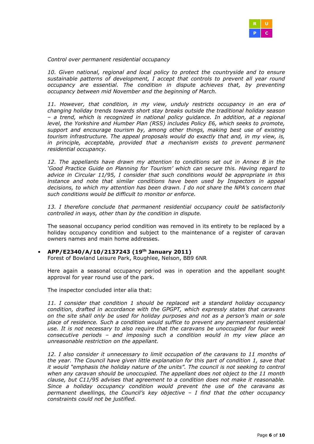

*Control over permanent residential occupancy* 

*10. Given national, regional and local policy to protect the countryside and to ensure sustainable patterns of development, I accept that controls to prevent all year round occupancy are essential. The condition in dispute achieves that, by preventing occupancy between mid November and the beginning of March.* 

*11. However, that condition, in my view, unduly restricts occupancy in an era of changing holiday trends towards short stay breaks outside the traditional holiday season – a trend, which is recognized in national policy guidance. In addition, at a regional level, the Yorkshire and Humber Plan (RSS) includes Policy E6, which seeks to promote, support and encourage tourism by, among other things, making best use of existing tourism infrastructure. The appeal proposals would do exactly that and, in my view, is,*  in principle, acceptable, provided that a mechanism exists to prevent permanent *residential occupancy.* 

*12. The appellants have drawn my attention to conditions set out in Annex B in the 'Good Practice Guide on Planning for Tourism' which can secure this. Having regard to advice in Circular 11/95, I consider that such conditions would be appropriate in this instance and note that similar conditions have been used by Inspectors in appeal decisions, to which my attention has been drawn. I do not share the NPA's concern that such conditions would be difficult to monitor or enforce.* 

13. I therefore conclude that permanent residential occupancy could be satisfactorily *controlled in ways, other than by the condition in dispute.* 

The seasonal occupancy period condition was removed in its entirety to be replaced by a holiday occupancy condition and subject to the maintenance of a register of caravan owners names and main home addresses.

#### • **APP/E2340/A/10/2137243 (19th January 2011)**

Forest of Bowland Leisure Park, Roughlee, Nelson, BB9 6NR

Here again a seasonal occupancy period was in operation and the appellant sought approval for year round use of the park.

The inspector concluded inter alia that:

*11. I consider that condition 1 should be replaced wit a standard holiday occupancy condition, drafted in accordance with the GPGPT, which expressly states that caravans on the site shall only be used for holiday purposes and not as a person's main or sole place of residence. Such a condition would suffice to prevent any permanent residential use. It is not necessary to also require that the caravans be unoccupied for four week consecutive periods – and imposing such a condition would in my view place an unreasonable restriction on the appellant.* 

*12. I also consider it unnecessary to limit occupation of the caravans to 11 months of the year. The Council have given little explanation for this part of condition 1, save that it would "emphasis the holiday nature of the units". The council is not seeking to control when any caravan should be unoccupied. The appellant does not object to the 11 month clause, but C11/95 advises that agreement to a condition does not make it reasonable. Since a holiday occupancy condition would prevent the use of the caravans as permanent dwellings, the Council's key objective – I find that the other occupancy constraints could not be justified.*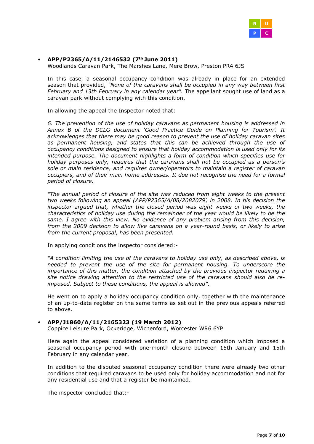

## • **APP/P2365/A/11/2146532 (7th June 2011)**

Woodlands Caravan Park, The Marshes Lane, Mere Brow, Preston PR4 6JS

In this case, a seasonal occupancy condition was already in place for an extended season that provided, *"None of the caravans shall be occupied in any way between first February and 13th February in any calendar year".* The appellant sought use of land as a caravan park without complying with this condition.

In allowing the appeal the Inspector noted that:

*6. The prevention of the use of holiday caravans as permanent housing is addressed in Annex B of the DCLG document 'Good Practice Guide on Planning for Tourism'. It acknowledges that there may be good reason to prevent the use of holiday caravan sites as permanent housing, and states that this can be achieved through the use of occupancy conditions designed to ensure that holiday accommodation is used only for its intended purpose. The document highlights a form of condition which specifies use for holiday purposes only, requires that the caravans shall not be occupied as a person's sole or main residence, and requires owner/operators to maintain a register of caravan occupiers, and of their main home addresses. It doe not recognise the need for a formal period of closure.* 

*"The annual period of closure of the site was reduced from eight weeks to the present two weeks following an appeal (APP/P2365/A/08/2082079) in 2008. In his decision the inspector argued that, whether the closed period was eight weeks or two weeks, the characteristics of holiday use during the remainder of the year would be likely to be the same. I agree with this view. No evidence of any problem arising from this decision, from the 2009 decision to allow five caravans on a year-round basis, or likely to arise from the current proposal, has been presented.* 

In applying conditions the inspector considered:-

*"A condition limiting the use of the caravans to holiday use only, as described above, is needed to prevent the use of the site for permanent housing. To underscore the importance of this matter, the condition attached by the previous inspector requiring a site notice drawing attention to the restricted use of the caravans should also be reimposed. Subject to these conditions, the appeal is allowed".* 

He went on to apply a holiday occupancy condition only, together with the maintenance of an up-to-date register on the same terms as set out in the previous appeals referred to above.

#### • **APP/J1860/A/11/2165323 (19 March 2012)**

Coppice Leisure Park, Ockeridge, Wichenford, Worcester WR6 6YP

Here again the appeal considered variation of a planning condition which imposed a seasonal occupancy period with one-month closure between 15th January and 15th February in any calendar year.

In addition to the disputed seasonal occupancy condition there were already two other conditions that required caravans to be used only for holiday accommodation and not for any residential use and that a register be maintained.

The inspector concluded that:-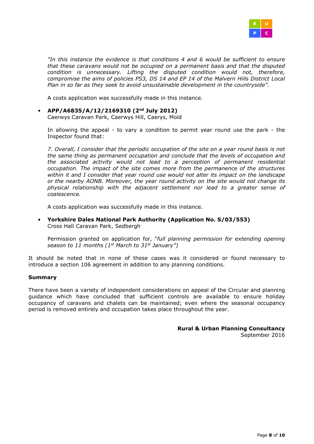

*"In this instance the evidence is that conditions 4 and 6 would be sufficient to ensure that these caravans would not be occupied on a permanent basis and that the disputed condition is unnecessary. Lifting the disputed condition would not, therefore, compromise the aims of policies PS3, DS 14 and EP 14 of the Malvern Hills District Local Plan in so far as they seek to avoid unsustainable development in the countryside".* 

A costs application was successfully made in this instance.

• **APP/A6835/A/12/2169310 (2nd July 2012)**

Caerwys Caravan Park, Caerwys Hill, Caerys, Mold

In allowing the appeal - to vary a condition to permit year round use the park - the Inspector found that:

*7. Overall, I consider that the periodic occupation of the site on a year round basis is not the same thing as permanent occupation and conclude that the levels of occupation and the associated activity would not lead to a perception of permanent residential occupation. The impact of the site comes more from the permanence of the structures within it and I consider that year round use would not alter its impact on the landscape or the nearby AONB. Moreover, the year round activity on the site would not change its physical relationship with the adjacent settlement nor lead to a greater sense of coalescence.* 

A costs application was successfully made in this instance.

• **Yorkshire Dales National Park Authority (Application No. S/03/553)**  Cross Hall Caravan Park, Sedbergh

Permission granted on application for, "*full planning permission for extending opening season to 11 months (1st March to 31st January")* 

It should be noted that in none of these cases was it considered or found necessary to introduce a section 106 agreement in addition to any planning conditions.

#### **Summary**

There have been a variety of independent considerations on appeal of the Circular and planning guidance which have concluded that sufficient controls are available to ensure holiday occupancy of caravans and chalets can be maintained; even where the seasonal occupancy period is removed entirely and occupation takes place throughout the year.

> **Rural & Urban Planning Consultancy**  September 2016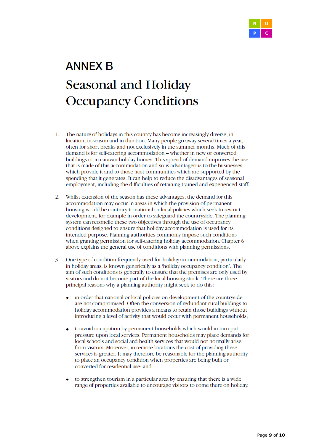

# **ANNEX B** Seasonal and Holiday **Occupancy Conditions**

- $1.$ The nature of holidays in this country has become increasingly diverse, in location, in season and in duration. Many people go away several times a year, often for short breaks and not exclusively in the summer months. Much of this demand is for self-catering accommodation - whether in new or converted buildings or in caravan holiday homes. This spread of demand improves the use that is made of this accommodation and so is advantageous to the businesses which provide it and to those host communities which are supported by the spending that it generates. It can help to reduce the disadvantages of seasonal employment, including the difficulties of retaining trained and experienced staff.
- 2. Whilst extension of the season has these advantages, the demand for this accommodation may occur in areas in which the provision of permanent housing would be contrary to national or local policies which seek to restrict development, for example in order to safeguard the countryside. The planning system can reconcile these two objectives through the use of occupancy conditions designed to ensure that holiday accommodation is used for its intended purpose. Planning authorities commonly impose such conditions when granting permission for self-catering holiday accommodation. Chapter 6 above explains the general use of conditions with planning permissions.
- One type of condition frequently used for holiday accommodation, particularly 3. in holiday areas, is known generically as a 'holiday occupancy condition'. The aim of such conditions is generally to ensure that the premises are only used by visitors and do not become part of the local housing stock. There are three principal reasons why a planning authority might seek to do this:
	- in order that national or local policies on development of the countryside are not compromised. Often the conversion of redundant rural buildings to holiday accommodation provides a means to retain those buildings without introducing a level of activity that would occur with permanent households;
	- to avoid occupation by permanent households which would in turn put  $\bullet$ pressure upon local services. Permanent households may place demands for local schools and social and health services that would not normally arise from visitors. Moreover, in remote locations the cost of providing these services is greater. It may therefore be reasonable for the planning authority to place an occupancy condition when properties are being built or converted for residential use; and
	- to strengthen tourism in a particular area by ensuring that there is a wide range of properties available to encourage visitors to come there on holiday.